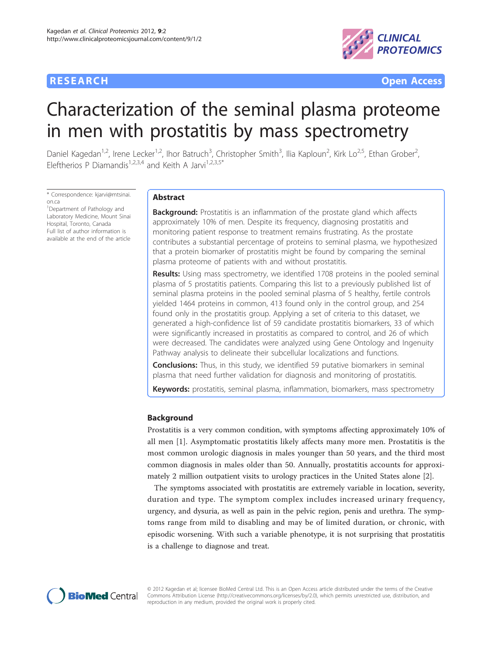

**RESEARCH CONTROL** CONTROL CONTROL CONTROL CONTROL CONTROL CONTROL CONTROL CONTROL CONTROL CONTROL CONTROL CONTROL CONTROL CONTROL CONTROL CONTROL CONTROL CONTROL CONTROL CONTROL CONTROL CONTROL CONTROL CONTROL CONTROL CON

# Characterization of the seminal plasma proteome in men with prostatitis by mass spectrometry

Daniel Kagedan<sup>1,2</sup>, Irene Lecker<sup>1,2</sup>, Ihor Batruch<sup>3</sup>, Christopher Smith<sup>3</sup>, Ilia Kaploun<sup>2</sup>, Kirk Lo<sup>2,5</sup>, Ethan Grober<sup>2</sup> , Eleftherios P Diamandis<sup>1,2,3,4</sup> and Keith A Jarvi<sup>1,2,3,5\*</sup>

\* Correspondence: [kjarvi@mtsinai.](mailto:kjarvi@mtsinai.on.ca) [on.ca](mailto:kjarvi@mtsinai.on.ca)

<sup>1</sup>Department of Pathology and Laboratory Medicine, Mount Sinai Hospital, Toronto, Canada Full list of author information is available at the end of the article

# Abstract

**Background:** Prostatitis is an inflammation of the prostate gland which affects approximately 10% of men. Despite its frequency, diagnosing prostatitis and monitoring patient response to treatment remains frustrating. As the prostate contributes a substantial percentage of proteins to seminal plasma, we hypothesized that a protein biomarker of prostatitis might be found by comparing the seminal plasma proteome of patients with and without prostatitis.

Results: Using mass spectrometry, we identified 1708 proteins in the pooled seminal plasma of 5 prostatitis patients. Comparing this list to a previously published list of seminal plasma proteins in the pooled seminal plasma of 5 healthy, fertile controls yielded 1464 proteins in common, 413 found only in the control group, and 254 found only in the prostatitis group. Applying a set of criteria to this dataset, we generated a high-confidence list of 59 candidate prostatitis biomarkers, 33 of which were significantly increased in prostatitis as compared to control, and 26 of which were decreased. The candidates were analyzed using Gene Ontology and Ingenuity Pathway analysis to delineate their subcellular localizations and functions.

**Conclusions:** Thus, in this study, we identified 59 putative biomarkers in seminal plasma that need further validation for diagnosis and monitoring of prostatitis.

Keywords: prostatitis, seminal plasma, inflammation, biomarkers, mass spectrometry

# Background

Prostatitis is a very common condition, with symptoms affecting approximately 10% of all men [[1\]](#page-18-0). Asymptomatic prostatitis likely affects many more men. Prostatitis is the most common urologic diagnosis in males younger than 50 years, and the third most common diagnosis in males older than 50. Annually, prostatitis accounts for approximately 2 million outpatient visits to urology practices in the United States alone [\[2](#page-18-0)].

The symptoms associated with prostatitis are extremely variable in location, severity, duration and type. The symptom complex includes increased urinary frequency, urgency, and dysuria, as well as pain in the pelvic region, penis and urethra. The symptoms range from mild to disabling and may be of limited duration, or chronic, with episodic worsening. With such a variable phenotype, it is not surprising that prostatitis is a challenge to diagnose and treat.



© 2012 Kagedan et al; licensee BioMed Central Ltd. This is an Open Access article distributed under the terms of the Creative Commons Attribution License [\(http://creativecommons.org/licenses/by/2.0](http://creativecommons.org/licenses/by/2.0)), which permits unrestricted use, distribution, and reproduction in any medium, provided the original work is properly cited.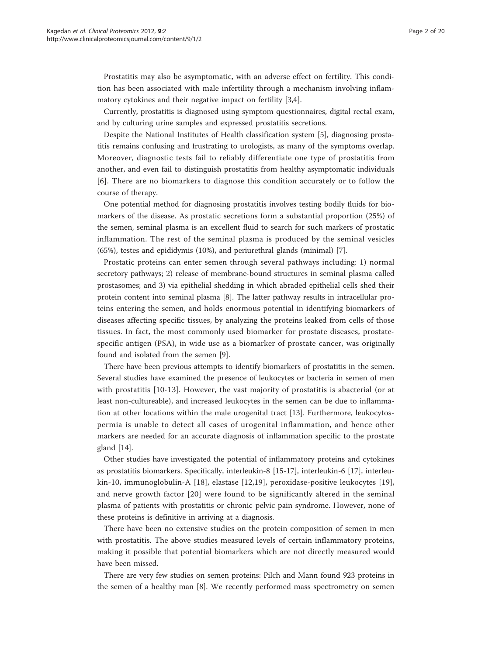Prostatitis may also be asymptomatic, with an adverse effect on fertility. This condition has been associated with male infertility through a mechanism involving inflammatory cytokines and their negative impact on fertility [\[3,4](#page-18-0)].

Currently, prostatitis is diagnosed using symptom questionnaires, digital rectal exam, and by culturing urine samples and expressed prostatitis secretions.

Despite the National Institutes of Health classification system [[5\]](#page-18-0), diagnosing prostatitis remains confusing and frustrating to urologists, as many of the symptoms overlap. Moreover, diagnostic tests fail to reliably differentiate one type of prostatitis from another, and even fail to distinguish prostatitis from healthy asymptomatic individuals [[6](#page-18-0)]. There are no biomarkers to diagnose this condition accurately or to follow the course of therapy.

One potential method for diagnosing prostatitis involves testing bodily fluids for biomarkers of the disease. As prostatic secretions form a substantial proportion (25%) of the semen, seminal plasma is an excellent fluid to search for such markers of prostatic inflammation. The rest of the seminal plasma is produced by the seminal vesicles (65%), testes and epididymis (10%), and periurethral glands (minimal) [\[7](#page-18-0)].

Prostatic proteins can enter semen through several pathways including: 1) normal secretory pathways; 2) release of membrane-bound structures in seminal plasma called prostasomes; and 3) via epithelial shedding in which abraded epithelial cells shed their protein content into seminal plasma [\[8\]](#page-18-0). The latter pathway results in intracellular proteins entering the semen, and holds enormous potential in identifying biomarkers of diseases affecting specific tissues, by analyzing the proteins leaked from cells of those tissues. In fact, the most commonly used biomarker for prostate diseases, prostatespecific antigen (PSA), in wide use as a biomarker of prostate cancer, was originally found and isolated from the semen [[9\]](#page-18-0).

There have been previous attempts to identify biomarkers of prostatitis in the semen. Several studies have examined the presence of leukocytes or bacteria in semen of men with prostatitis [[10](#page-18-0)-[13](#page-18-0)]. However, the vast majority of prostatitis is abacterial (or at least non-cultureable), and increased leukocytes in the semen can be due to inflammation at other locations within the male urogenital tract [[13\]](#page-18-0). Furthermore, leukocytospermia is unable to detect all cases of urogenital inflammation, and hence other markers are needed for an accurate diagnosis of inflammation specific to the prostate gland [\[14\]](#page-18-0).

Other studies have investigated the potential of inflammatory proteins and cytokines as prostatitis biomarkers. Specifically, interleukin-8 [[15](#page-18-0)-[17\]](#page-18-0), interleukin-6 [\[17](#page-18-0)], interleukin-10, immunoglobulin-A [[18\]](#page-18-0), elastase [[12,19](#page-18-0)], peroxidase-positive leukocytes [[19](#page-18-0)], and nerve growth factor [\[20\]](#page-18-0) were found to be significantly altered in the seminal plasma of patients with prostatitis or chronic pelvic pain syndrome. However, none of these proteins is definitive in arriving at a diagnosis.

There have been no extensive studies on the protein composition of semen in men with prostatitis. The above studies measured levels of certain inflammatory proteins, making it possible that potential biomarkers which are not directly measured would have been missed.

There are very few studies on semen proteins: Pilch and Mann found 923 proteins in the semen of a healthy man [\[8](#page-18-0)]. We recently performed mass spectrometry on semen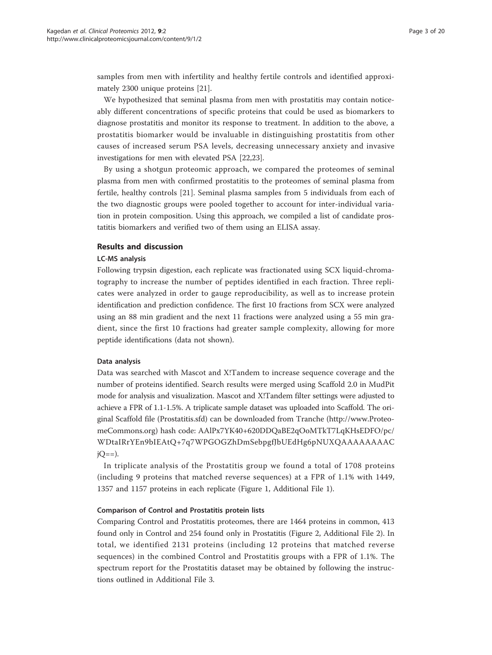samples from men with infertility and healthy fertile controls and identified approximately 2300 unique proteins [[21](#page-18-0)].

We hypothesized that seminal plasma from men with prostatitis may contain noticeably different concentrations of specific proteins that could be used as biomarkers to diagnose prostatitis and monitor its response to treatment. In addition to the above, a prostatitis biomarker would be invaluable in distinguishing prostatitis from other causes of increased serum PSA levels, decreasing unnecessary anxiety and invasive investigations for men with elevated PSA [\[22,23\]](#page-18-0).

By using a shotgun proteomic approach, we compared the proteomes of seminal plasma from men with confirmed prostatitis to the proteomes of seminal plasma from fertile, healthy controls [[21\]](#page-18-0). Seminal plasma samples from 5 individuals from each of the two diagnostic groups were pooled together to account for inter-individual variation in protein composition. Using this approach, we compiled a list of candidate prostatitis biomarkers and verified two of them using an ELISA assay.

# Results and discussion

#### LC-MS analysis

Following trypsin digestion, each replicate was fractionated using SCX liquid-chromatography to increase the number of peptides identified in each fraction. Three replicates were analyzed in order to gauge reproducibility, as well as to increase protein identification and prediction confidence. The first 10 fractions from SCX were analyzed using an 88 min gradient and the next 11 fractions were analyzed using a 55 min gradient, since the first 10 fractions had greater sample complexity, allowing for more peptide identifications (data not shown).

## Data analysis

Data was searched with Mascot and X!Tandem to increase sequence coverage and the number of proteins identified. Search results were merged using Scaffold 2.0 in MudPit mode for analysis and visualization. Mascot and X!Tandem filter settings were adjusted to achieve a FPR of 1.1-1.5%. A triplicate sample dataset was uploaded into Scaffold. The original Scaffold file (Prostatitis.sfd) can be downloaded from Tranche [\(http://www.Proteo](http://www.ProteomeCommons.org)[meCommons.org](http://www.ProteomeCommons.org)) hash code: AAlPx7YK40+620DDQaBE2qOoMTkT7LqKHsEDFO/pc/ WDtaIRrYEn9bIEAtQ+7q7WPGOGZhDmSebpgfJbUEdHg6pNUXQAAAAAAAAC  $jO==$ ).

In triplicate analysis of the Prostatitis group we found a total of 1708 proteins (including 9 proteins that matched reverse sequences) at a FPR of 1.1% with 1449, 1357 and 1157 proteins in each replicate (Figure [1](#page-3-0), Additional File [1\)](#page-17-0).

#### Comparison of Control and Prostatitis protein lists

Comparing Control and Prostatitis proteomes, there are 1464 proteins in common, 413 found only in Control and 254 found only in Prostatitis (Figure [2](#page-3-0), Additional File [2\)](#page-17-0). In total, we identified 2131 proteins (including 12 proteins that matched reverse sequences) in the combined Control and Prostatitis groups with a FPR of 1.1%. The spectrum report for the Prostatitis dataset may be obtained by following the instructions outlined in Additional File [3.](#page-17-0)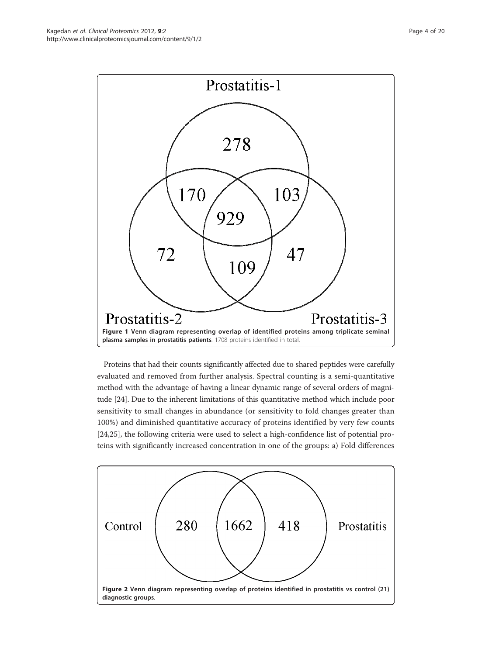<span id="page-3-0"></span>

Proteins that had their counts significantly affected due to shared peptides were carefully evaluated and removed from further analysis. Spectral counting is a semi-quantitative method with the advantage of having a linear dynamic range of several orders of magnitude [\[24](#page-18-0)]. Due to the inherent limitations of this quantitative method which include poor sensitivity to small changes in abundance (or sensitivity to fold changes greater than 100%) and diminished quantitative accuracy of proteins identified by very few counts [[24,25\]](#page-18-0), the following criteria were used to select a high-confidence list of potential proteins with significantly increased concentration in one of the groups: a) Fold differences

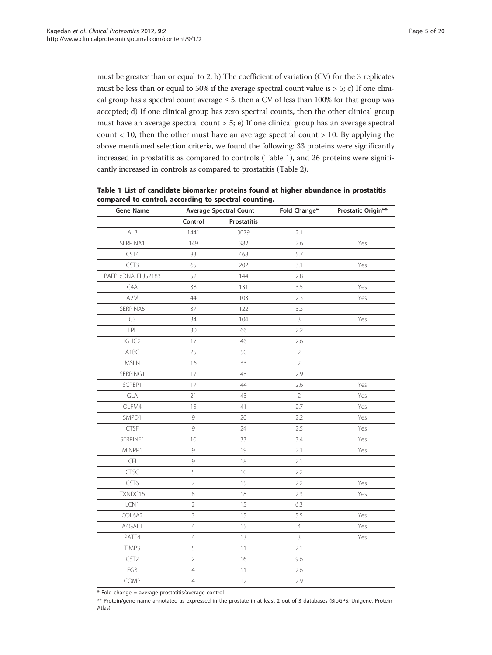<span id="page-4-0"></span>must be greater than or equal to  $2$ ; b) The coefficient of variation (CV) for the 3 replicates must be less than or equal to 50% if the average spectral count value is  $> 5$ ; c) If one clinical group has a spectral count average  $\leq 5$ , then a CV of less than 100% for that group was accepted; d) If one clinical group has zero spectral counts, then the other clinical group must have an average spectral count  $> 5$ ; e) If one clinical group has an average spectral count  $<$  10, then the other must have an average spectral count  $>$  10. By applying the above mentioned selection criteria, we found the following: 33 proteins were significantly increased in prostatitis as compared to controls (Table 1), and 26 proteins were significantly increased in controls as compared to prostatitis (Table [2](#page-5-0)).

| <b>Gene Name</b>   | <b>Average Spectral Count</b> |             | Fold Change*   | Prostatic Origin** |
|--------------------|-------------------------------|-------------|----------------|--------------------|
|                    | Control                       | Prostatitis |                |                    |
| ALB                | 1441                          | 3079        | 2.1            |                    |
| SERPINA1           | 149                           | 382         | 2.6            | Yes                |
| CST4               | 83                            | 468         | 5.7            |                    |
| CST3               | 65                            | 202         | 3.1            | Yes                |
| PAEP cDNA FLJ52183 | 52                            | 144         | 2.8            |                    |
| C4A                | 38                            | 131         | 3.5            | Yes                |
| A <sub>2</sub> M   | 44                            | 103         | 2.3            | Yes                |
| SERPINA5           | 37                            | 122         | 3.3            |                    |
| C3                 | 34                            | 104         | $\mathsf{3}$   | Yes                |
| LPL                | 30                            | 66          | 2.2            |                    |
| IGHG2              | 17                            | 46          | 2.6            |                    |
| A1BG               | 25                            | 50          | $\sqrt{2}$     |                    |
| <b>MSLN</b>        | 16                            | 33          | $\overline{2}$ |                    |
| SERPING1           | 17                            | 48          | 2.9            |                    |
| SCPEP1             | 17                            | 44          | 2.6            | Yes                |
| GLA                | 21                            | 43          | $\overline{2}$ | Yes                |
| OLFM4              | 15                            | 41          | 2.7            | Yes                |
| SMPD1              | 9                             | 20          | 2.2            | Yes                |
| CTSF               | 9                             | 24          | 2.5            | Yes                |
| SERPINF1           | 10                            | 33          | 3.4            | Yes                |
| MINPP1             | 9                             | 19          | 2.1            | Yes                |
| CFI                | 9                             | 18          | 2.1            |                    |
| CTSC               | 5                             | 10          | 2.2            |                    |
| CST6               | $\overline{7}$                | 15          | 2.2            | Yes                |
| TXNDC16            | $\,8\,$                       | 18          | 2.3            | Yes                |
| LCN1               | $\overline{2}$                | 15          | 6.3            |                    |
| COL6A2             | $\overline{3}$                | 15          | 5.5            | Yes                |
| A4GALT             | $\overline{4}$                | 15          | $\overline{4}$ | Yes                |
| PATE4              | $\overline{4}$                | 13          | $\mathsf{3}$   | Yes                |
| TIMP3              | 5                             | 11          | 2.1            |                    |
| CST <sub>2</sub>   | $\overline{2}$                | 16          | 9.6            |                    |
| FGB                | $\overline{4}$                | 11          | 2.6            |                    |
| COMP               | $\overline{4}$                | 12          | 2.9            |                    |

| Table 1 List of candidate biomarker proteins found at higher abundance in prostatitis |
|---------------------------------------------------------------------------------------|
| compared to control, according to spectral counting.                                  |

 $*$  Fold change = average prostatitis/average control

\*\* Protein/gene name annotated as expressed in the prostate in at least 2 out of 3 databases (BioGPS; Unigene, Protein Atlas)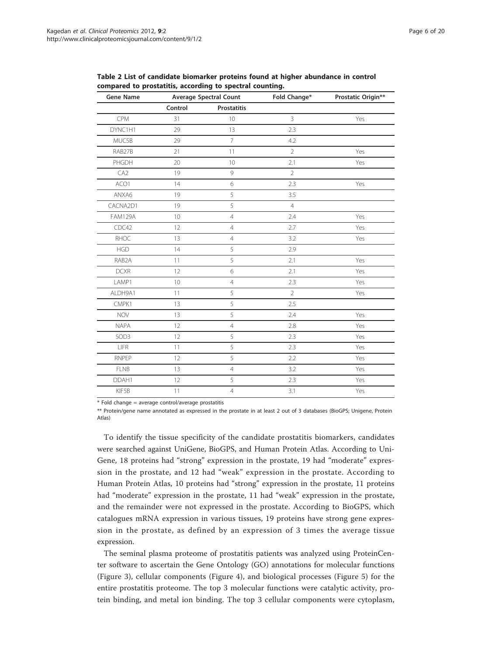<span id="page-5-0"></span>Table 2 List of candidate biomarker proteins found at higher abundance in control compared to prostatitis, according to spectral counting.

| <b>Gene Name</b> | <b>Average Spectral Count</b> |                    | Fold Change*   | Prostatic Origin** |
|------------------|-------------------------------|--------------------|----------------|--------------------|
|                  | Control                       | <b>Prostatitis</b> |                |                    |
| CPM              | 31                            | 10                 | $\overline{3}$ | Yes                |
| DYNC1H1          | 29                            | 13                 | 2.3            |                    |
| MUC5B            | 29                            | $\overline{7}$     | 4.2            |                    |
| RAB27B           | 21                            | 11                 | $\overline{2}$ | Yes                |
| PHGDH            | 20                            | 10                 | 2.1            | Yes                |
| CA <sub>2</sub>  | 19                            | 9                  | $\overline{2}$ |                    |
| ACO1             | 14                            | 6                  | 2.3            | Yes                |
| ANXA6            | 19                            | 5                  | 3.5            |                    |
| CACNA2D1         | 19                            | 5                  | $\overline{4}$ |                    |
| <b>FAM129A</b>   | 10                            | $\overline{4}$     | 2.4            | Yes                |
| CDC42            | 12                            | $\overline{4}$     | 2.7            | Yes                |
| RHOC             | 13                            | $\overline{4}$     | 3.2            | Yes                |
| <b>HGD</b>       | 14                            | 5                  | 2.9            |                    |
| RAB2A            | 11                            | 5                  | 2.1            | Yes                |
| <b>DCXR</b>      | 12                            | 6                  | 2.1            | Yes                |
| LAMP1            | 10                            | $\overline{4}$     | 2.3            | Yes                |
| ALDH9A1          | 11                            | 5                  | $\overline{2}$ | Yes                |
| CMPK1            | 13                            | 5                  | 2.5            |                    |
| <b>NOV</b>       | 13                            | 5                  | 2.4            | Yes                |
| <b>NAPA</b>      | 12                            | $\overline{4}$     | 2.8            | Yes                |
| SOD3             | 12                            | 5                  | 2.3            | Yes                |
| LIFR             | 11                            | 5                  | 2.3            | Yes                |
| RNPEP            | 12                            | 5                  | 2.2            | Yes                |
| <b>FLNB</b>      | 13                            | $\overline{4}$     | 3.2            | Yes                |
| DDAH1            | 12                            | 5                  | 2.3            | Yes                |
| KIF5B            | 11                            | $\overline{4}$     | 3.1            | Yes                |

\* Fold change = average control/average prostatitis

\*\* Protein/gene name annotated as expressed in the prostate in at least 2 out of 3 databases (BioGPS; Unigene, Protein Atlas)

To identify the tissue specificity of the candidate prostatitis biomarkers, candidates were searched against UniGene, BioGPS, and Human Protein Atlas. According to Uni-Gene, 18 proteins had "strong" expression in the prostate, 19 had "moderate" expression in the prostate, and 12 had "weak" expression in the prostate. According to Human Protein Atlas, 10 proteins had "strong" expression in the prostate, 11 proteins had "moderate" expression in the prostate, 11 had "weak" expression in the prostate, and the remainder were not expressed in the prostate. According to BioGPS, which catalogues mRNA expression in various tissues, 19 proteins have strong gene expression in the prostate, as defined by an expression of 3 times the average tissue expression.

The seminal plasma proteome of prostatitis patients was analyzed using ProteinCenter software to ascertain the Gene Ontology (GO) annotations for molecular functions (Figure [3\)](#page-6-0), cellular components (Figure [4\)](#page-6-0), and biological processes (Figure [5\)](#page-7-0) for the entire prostatitis proteome. The top 3 molecular functions were catalytic activity, protein binding, and metal ion binding. The top 3 cellular components were cytoplasm,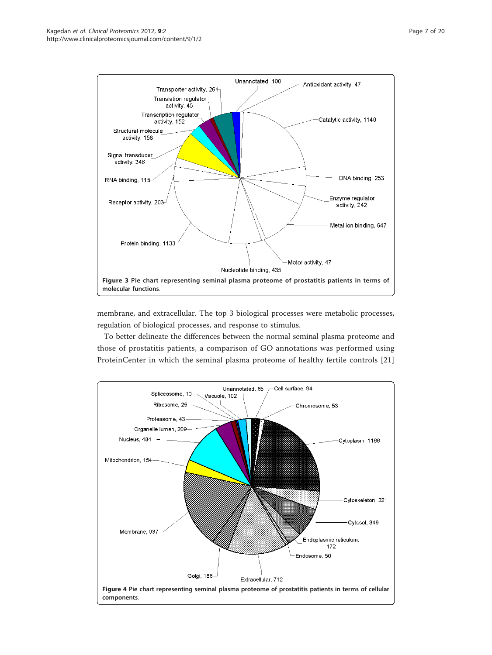<span id="page-6-0"></span>

membrane, and extracellular. The top 3 biological processes were metabolic processes, regulation of biological processes, and response to stimulus.

To better delineate the differences between the normal seminal plasma proteome and those of prostatitis patients, a comparison of GO annotations was performed using ProteinCenter in which the seminal plasma proteome of healthy fertile controls [\[21](#page-18-0)]

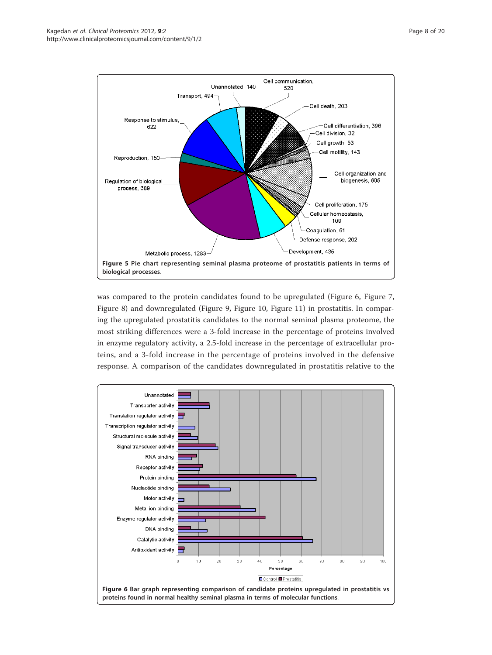<span id="page-7-0"></span>

was compared to the protein candidates found to be upregulated (Figure 6, Figure [7](#page-8-0), Figure [8\)](#page-8-0) and downregulated (Figure [9,](#page-9-0) Figure [10](#page-9-0), Figure [11\)](#page-10-0) in prostatitis. In comparing the upregulated prostatitis candidates to the normal seminal plasma proteome, the most striking differences were a 3-fold increase in the percentage of proteins involved in enzyme regulatory activity, a 2.5-fold increase in the percentage of extracellular proteins, and a 3-fold increase in the percentage of proteins involved in the defensive response. A comparison of the candidates downregulated in prostatitis relative to the

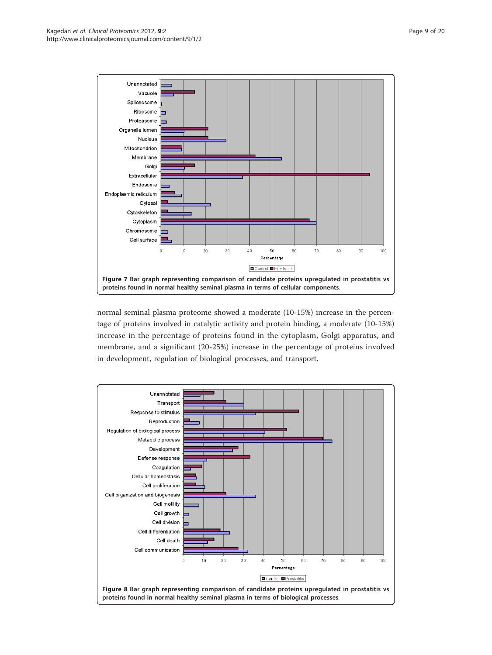<span id="page-8-0"></span>

normal seminal plasma proteome showed a moderate (10-15%) increase in the percentage of proteins involved in catalytic activity and protein binding, a moderate (10-15%) increase in the percentage of proteins found in the cytoplasm, Golgi apparatus, and membrane, and a significant (20-25%) increase in the percentage of proteins involved in development, regulation of biological processes, and transport.

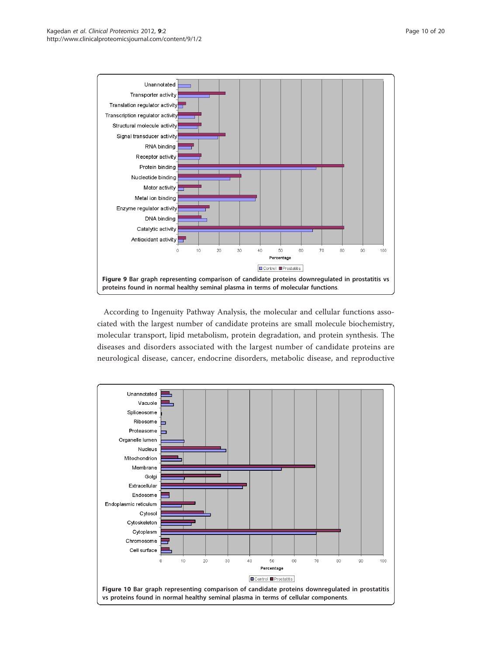<span id="page-9-0"></span>

According to Ingenuity Pathway Analysis, the molecular and cellular functions associated with the largest number of candidate proteins are small molecule biochemistry, molecular transport, lipid metabolism, protein degradation, and protein synthesis. The diseases and disorders associated with the largest number of candidate proteins are neurological disease, cancer, endocrine disorders, metabolic disease, and reproductive

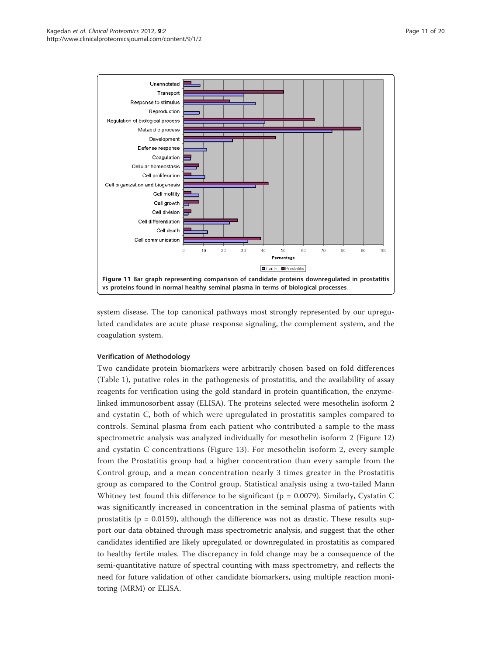<span id="page-10-0"></span>

system disease. The top canonical pathways most strongly represented by our upregulated candidates are acute phase response signaling, the complement system, and the coagulation system.

# Verification of Methodology

Two candidate protein biomarkers were arbitrarily chosen based on fold differences (Table [1](#page-4-0)), putative roles in the pathogenesis of prostatitis, and the availability of assay reagents for verification using the gold standard in protein quantification, the enzymelinked immunosorbent assay (ELISA). The proteins selected were mesothelin isoform 2 and cystatin C, both of which were upregulated in prostatitis samples compared to controls. Seminal plasma from each patient who contributed a sample to the mass spectrometric analysis was analyzed individually for mesothelin isoform 2 (Figure [12](#page-11-0)) and cystatin C concentrations (Figure [13\)](#page-11-0). For mesothelin isoform 2, every sample from the Prostatitis group had a higher concentration than every sample from the Control group, and a mean concentration nearly 3 times greater in the Prostatitis group as compared to the Control group. Statistical analysis using a two-tailed Mann Whitney test found this difference to be significant ( $p = 0.0079$ ). Similarly, Cystatin C was significantly increased in concentration in the seminal plasma of patients with prostatitis ( $p = 0.0159$ ), although the difference was not as drastic. These results support our data obtained through mass spectrometric analysis, and suggest that the other candidates identified are likely upregulated or downregulated in prostatitis as compared to healthy fertile males. The discrepancy in fold change may be a consequence of the semi-quantitative nature of spectral counting with mass spectrometry, and reflects the need for future validation of other candidate biomarkers, using multiple reaction monitoring (MRM) or ELISA.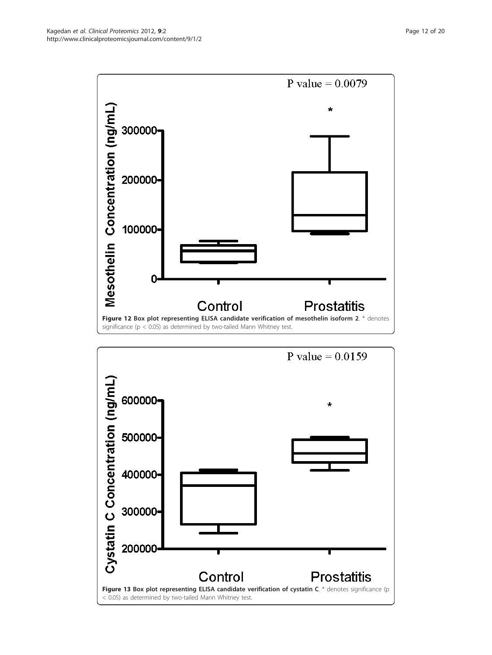<span id="page-11-0"></span>

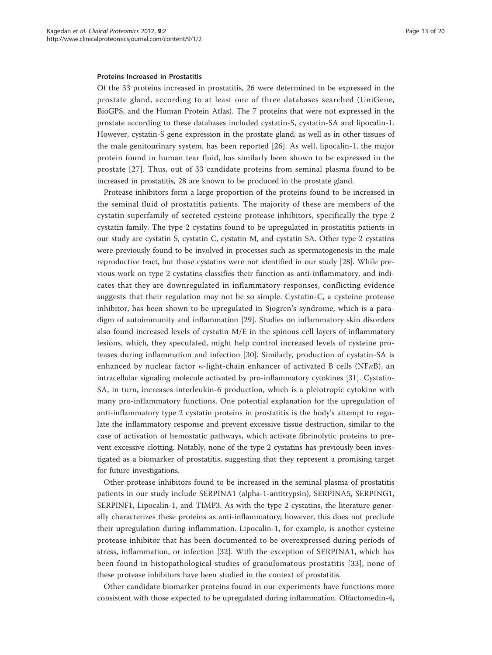#### Proteins Increased in Prostatitis

Of the 33 proteins increased in prostatitis, 26 were determined to be expressed in the prostate gland, according to at least one of three databases searched (UniGene, BioGPS, and the Human Protein Atlas). The 7 proteins that were not expressed in the prostate according to these databases included cystatin-S, cystatin-SA and lipocalin-1. However, cystatin-S gene expression in the prostate gland, as well as in other tissues of the male genitourinary system, has been reported [\[26](#page-18-0)]. As well, lipocalin-1, the major protein found in human tear fluid, has similarly been shown to be expressed in the prostate [\[27](#page-18-0)]. Thus, out of 33 candidate proteins from seminal plasma found to be increased in prostatitis, 28 are known to be produced in the prostate gland.

Protease inhibitors form a large proportion of the proteins found to be increased in the seminal fluid of prostatitis patients. The majority of these are members of the cystatin superfamily of secreted cysteine protease inhibitors, specifically the type 2 cystatin family. The type 2 cystatins found to be upregulated in prostatitis patients in our study are cystatin S, cystatin C, cystatin M, and cystatin SA. Other type 2 cystatins were previously found to be involved in processes such as spermatogenesis in the male reproductive tract, but those cystatins were not identified in our study [\[28](#page-18-0)]. While previous work on type 2 cystatins classifies their function as anti-inflammatory, and indicates that they are downregulated in inflammatory responses, conflicting evidence suggests that their regulation may not be so simple. Cystatin-C, a cysteine protease inhibitor, has been shown to be upregulated in Sjogren's syndrome, which is a paradigm of autoimmunity and inflammation [\[29](#page-18-0)]. Studies on inflammatory skin disorders also found increased levels of cystatin M/E in the spinous cell layers of inflammatory lesions, which, they speculated, might help control increased levels of cysteine proteases during inflammation and infection [[30\]](#page-18-0). Similarly, production of cystatin-SA is enhanced by nuclear factor  $\kappa$ -light-chain enhancer of activated B cells (NF $\kappa$ B), an intracellular signaling molecule activated by pro-inflammatory cytokines [\[31\]](#page-19-0). Cystatin-SA, in turn, increases interleukin-6 production, which is a pleiotropic cytokine with many pro-inflammatory functions. One potential explanation for the upregulation of anti-inflammatory type 2 cystatin proteins in prostatitis is the body's attempt to regulate the inflammatory response and prevent excessive tissue destruction, similar to the case of activation of hemostatic pathways, which activate fibrinolytic proteins to prevent excessive clotting. Notably, none of the type 2 cystatins has previously been investigated as a biomarker of prostatitis, suggesting that they represent a promising target for future investigations.

Other protease inhibitors found to be increased in the seminal plasma of prostatitis patients in our study include SERPINA1 (alpha-1-antitrypsin), SERPINA5, SERPING1, SERPINF1, Lipocalin-1, and TIMP3. As with the type 2 cystatins, the literature generally characterizes these proteins as anti-inflammatory; however, this does not preclude their upregulation during inflammation. Lipocalin-1, for example, is another cysteine protease inhibitor that has been documented to be overexpressed during periods of stress, inflammation, or infection [\[32](#page-19-0)]. With the exception of SERPINA1, which has been found in histopathological studies of granulomatous prostatitis [[33](#page-19-0)], none of these protease inhibitors have been studied in the context of prostatitis.

Other candidate biomarker proteins found in our experiments have functions more consistent with those expected to be upregulated during inflammation. Olfactomedin-4,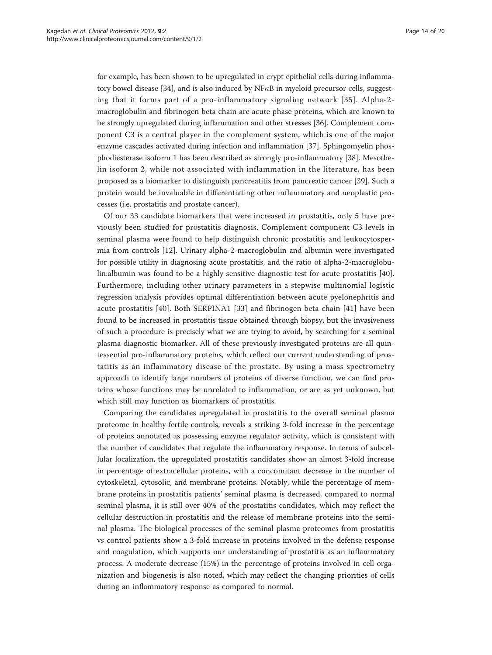for example, has been shown to be upregulated in crypt epithelial cells during inflamma-tory bowel disease [[34](#page-19-0)], and is also induced by  $NFAB$  in myeloid precursor cells, suggesting that it forms part of a pro-inflammatory signaling network [[35](#page-19-0)]. Alpha-2 macroglobulin and fibrinogen beta chain are acute phase proteins, which are known to be strongly upregulated during inflammation and other stresses [[36](#page-19-0)]. Complement component C3 is a central player in the complement system, which is one of the major enzyme cascades activated during infection and inflammation [[37](#page-19-0)]. Sphingomyelin phosphodiesterase isoform 1 has been described as strongly pro-inflammatory [\[38\]](#page-19-0). Mesothelin isoform 2, while not associated with inflammation in the literature, has been proposed as a biomarker to distinguish pancreatitis from pancreatic cancer [\[39\]](#page-19-0). Such a protein would be invaluable in differentiating other inflammatory and neoplastic processes (i.e. prostatitis and prostate cancer).

Of our 33 candidate biomarkers that were increased in prostatitis, only 5 have previously been studied for prostatitis diagnosis. Complement component C3 levels in seminal plasma were found to help distinguish chronic prostatitis and leukocytospermia from controls [[12\]](#page-18-0). Urinary alpha-2-macroglobulin and albumin were investigated for possible utility in diagnosing acute prostatitis, and the ratio of alpha-2-macroglobulin:albumin was found to be a highly sensitive diagnostic test for acute prostatitis [\[40](#page-19-0)]. Furthermore, including other urinary parameters in a stepwise multinomial logistic regression analysis provides optimal differentiation between acute pyelonephritis and acute prostatitis [[40\]](#page-19-0). Both SERPINA1 [[33\]](#page-19-0) and fibrinogen beta chain [[41\]](#page-19-0) have been found to be increased in prostatitis tissue obtained through biopsy, but the invasiveness of such a procedure is precisely what we are trying to avoid, by searching for a seminal plasma diagnostic biomarker. All of these previously investigated proteins are all quintessential pro-inflammatory proteins, which reflect our current understanding of prostatitis as an inflammatory disease of the prostate. By using a mass spectrometry approach to identify large numbers of proteins of diverse function, we can find proteins whose functions may be unrelated to inflammation, or are as yet unknown, but which still may function as biomarkers of prostatitis.

Comparing the candidates upregulated in prostatitis to the overall seminal plasma proteome in healthy fertile controls, reveals a striking 3-fold increase in the percentage of proteins annotated as possessing enzyme regulator activity, which is consistent with the number of candidates that regulate the inflammatory response. In terms of subcellular localization, the upregulated prostatitis candidates show an almost 3-fold increase in percentage of extracellular proteins, with a concomitant decrease in the number of cytoskeletal, cytosolic, and membrane proteins. Notably, while the percentage of membrane proteins in prostatitis patients' seminal plasma is decreased, compared to normal seminal plasma, it is still over 40% of the prostatitis candidates, which may reflect the cellular destruction in prostatitis and the release of membrane proteins into the seminal plasma. The biological processes of the seminal plasma proteomes from prostatitis vs control patients show a 3-fold increase in proteins involved in the defense response and coagulation, which supports our understanding of prostatitis as an inflammatory process. A moderate decrease (15%) in the percentage of proteins involved in cell organization and biogenesis is also noted, which may reflect the changing priorities of cells during an inflammatory response as compared to normal.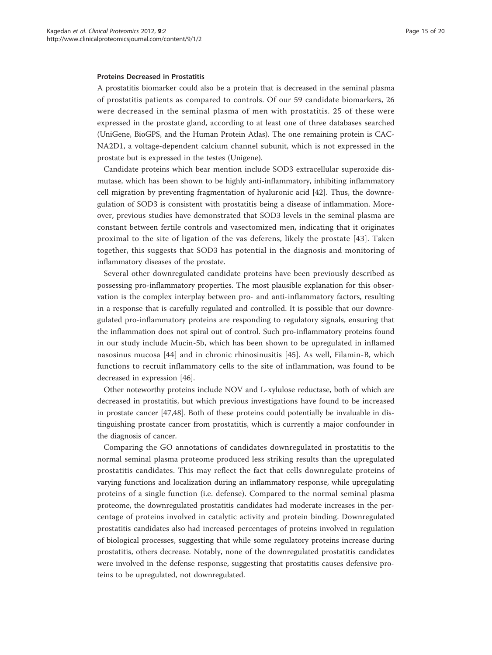A prostatitis biomarker could also be a protein that is decreased in the seminal plasma of prostatitis patients as compared to controls. Of our 59 candidate biomarkers, 26 were decreased in the seminal plasma of men with prostatitis. 25 of these were expressed in the prostate gland, according to at least one of three databases searched (UniGene, BioGPS, and the Human Protein Atlas). The one remaining protein is CAC-NA2D1, a voltage-dependent calcium channel subunit, which is not expressed in the prostate but is expressed in the testes (Unigene).

Candidate proteins which bear mention include SOD3 extracellular superoxide dismutase, which has been shown to be highly anti-inflammatory, inhibiting inflammatory cell migration by preventing fragmentation of hyaluronic acid [[42](#page-19-0)]. Thus, the downregulation of SOD3 is consistent with prostatitis being a disease of inflammation. Moreover, previous studies have demonstrated that SOD3 levels in the seminal plasma are constant between fertile controls and vasectomized men, indicating that it originates proximal to the site of ligation of the vas deferens, likely the prostate [[43](#page-19-0)]. Taken together, this suggests that SOD3 has potential in the diagnosis and monitoring of inflammatory diseases of the prostate.

Several other downregulated candidate proteins have been previously described as possessing pro-inflammatory properties. The most plausible explanation for this observation is the complex interplay between pro- and anti-inflammatory factors, resulting in a response that is carefully regulated and controlled. It is possible that our downregulated pro-inflammatory proteins are responding to regulatory signals, ensuring that the inflammation does not spiral out of control. Such pro-inflammatory proteins found in our study include Mucin-5b, which has been shown to be upregulated in inflamed nasosinus mucosa [[44](#page-19-0)] and in chronic rhinosinusitis [\[45\]](#page-19-0). As well, Filamin-B, which functions to recruit inflammatory cells to the site of inflammation, was found to be decreased in expression [\[46\]](#page-19-0).

Other noteworthy proteins include NOV and L-xylulose reductase, both of which are decreased in prostatitis, but which previous investigations have found to be increased in prostate cancer [[47,48\]](#page-19-0). Both of these proteins could potentially be invaluable in distinguishing prostate cancer from prostatitis, which is currently a major confounder in the diagnosis of cancer.

Comparing the GO annotations of candidates downregulated in prostatitis to the normal seminal plasma proteome produced less striking results than the upregulated prostatitis candidates. This may reflect the fact that cells downregulate proteins of varying functions and localization during an inflammatory response, while upregulating proteins of a single function (i.e. defense). Compared to the normal seminal plasma proteome, the downregulated prostatitis candidates had moderate increases in the percentage of proteins involved in catalytic activity and protein binding. Downregulated prostatitis candidates also had increased percentages of proteins involved in regulation of biological processes, suggesting that while some regulatory proteins increase during prostatitis, others decrease. Notably, none of the downregulated prostatitis candidates were involved in the defense response, suggesting that prostatitis causes defensive proteins to be upregulated, not downregulated.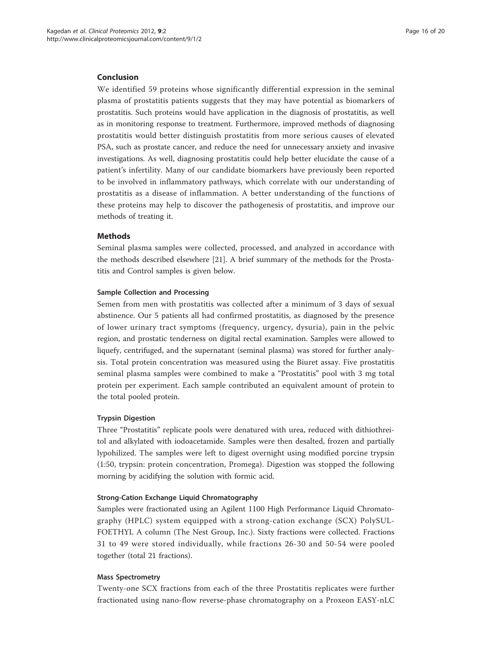# Conclusion

We identified 59 proteins whose significantly differential expression in the seminal plasma of prostatitis patients suggests that they may have potential as biomarkers of prostatitis. Such proteins would have application in the diagnosis of prostatitis, as well as in monitoring response to treatment. Furthermore, improved methods of diagnosing prostatitis would better distinguish prostatitis from more serious causes of elevated PSA, such as prostate cancer, and reduce the need for unnecessary anxiety and invasive investigations. As well, diagnosing prostatitis could help better elucidate the cause of a patient's infertility. Many of our candidate biomarkers have previously been reported to be involved in inflammatory pathways, which correlate with our understanding of prostatitis as a disease of inflammation. A better understanding of the functions of these proteins may help to discover the pathogenesis of prostatitis, and improve our methods of treating it.

# Methods

Seminal plasma samples were collected, processed, and analyzed in accordance with the methods described elsewhere [\[21\]](#page-18-0). A brief summary of the methods for the Prostatitis and Control samples is given below.

#### Sample Collection and Processing

Semen from men with prostatitis was collected after a minimum of 3 days of sexual abstinence. Our 5 patients all had confirmed prostatitis, as diagnosed by the presence of lower urinary tract symptoms (frequency, urgency, dysuria), pain in the pelvic region, and prostatic tenderness on digital rectal examination. Samples were allowed to liquefy, centrifuged, and the supernatant (seminal plasma) was stored for further analysis. Total protein concentration was measured using the Biuret assay. Five prostatitis seminal plasma samples were combined to make a "Prostatitis" pool with 3 mg total protein per experiment. Each sample contributed an equivalent amount of protein to the total pooled protein.

#### Trypsin Digestion

Three "Prostatitis" replicate pools were denatured with urea, reduced with dithiothreitol and alkylated with iodoacetamide. Samples were then desalted, frozen and partially lypohilized. The samples were left to digest overnight using modified porcine trypsin (1:50, trypsin: protein concentration, Promega). Digestion was stopped the following morning by acidifying the solution with formic acid.

# Strong-Cation Exchange Liquid Chromatography

Samples were fractionated using an Agilent 1100 High Performance Liquid Chromatography (HPLC) system equipped with a strong-cation exchange (SCX) PolySUL-FOETHYL A column (The Nest Group, Inc.). Sixty fractions were collected. Fractions 31 to 49 were stored individually, while fractions 26-30 and 50-54 were pooled together (total 21 fractions).

#### Mass Spectrometry

Twenty-one SCX fractions from each of the three Prostatitis replicates were further fractionated using nano-flow reverse-phase chromatography on a Proxeon EASY-nLC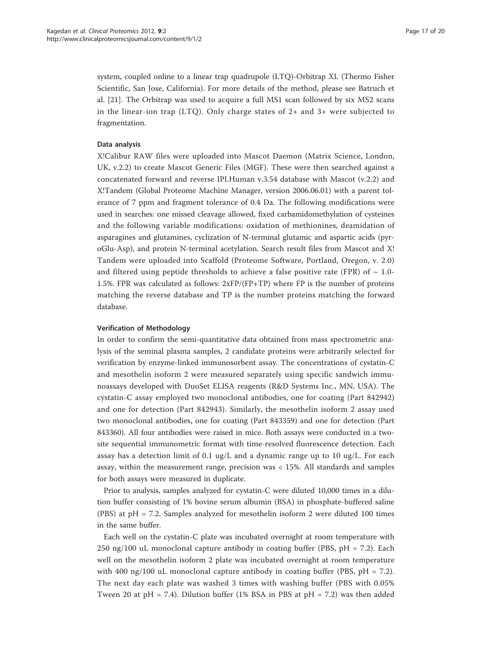system, coupled online to a linear trap quadrupole (LTQ)-Orbitrap XL (Thermo Fisher Scientific, San Jose, California). For more details of the method, please see Batruch et al. [[21](#page-18-0)]. The Orbitrap was used to acquire a full MS1 scan followed by six MS2 scans in the linear-ion trap (LTQ). Only charge states of 2+ and 3+ were subjected to fragmentation.

#### Data analysis

X!Calibur RAW files were uploaded into Mascot Daemon (Matrix Science, London, UK, v.2.2) to create Mascot Generic Files (MGF). These were then searched against a concatenated forward and reverse IPI.Human v.3.54 database with Mascot (v.2.2) and X!Tandem (Global Proteome Machine Manager, version 2006.06.01) with a parent tolerance of 7 ppm and fragment tolerance of 0.4 Da. The following modifications were used in searches: one missed cleavage allowed, fixed carbamidomethylation of cysteines and the following variable modifications: oxidation of methionines, deamidation of asparagines and glutamines, cyclization of N-terminal glutamic and aspartic acids (pyroGlu-Asp), and protein N-terminal acetylation. Search result files from Mascot and X! Tandem were uploaded into Scaffold (Proteome Software, Portland, Oregon, v. 2.0) and filtered using peptide thresholds to achieve a false positive rate (FPR) of  $\sim 1.0$ -1.5%. FPR was calculated as follows:  $2xFP/(FP+TP)$  where FP is the number of proteins matching the reverse database and TP is the number proteins matching the forward database.

### Verification of Methodology

In order to confirm the semi-quantitative data obtained from mass spectrometric analysis of the seminal plasma samples, 2 candidate proteins were arbitrarily selected for verification by enzyme-linked immunosorbent assay. The concentrations of cystatin-C and mesothelin isoform 2 were measured separately using specific sandwich immunoassays developed with DuoSet ELISA reagents (R&D Systems Inc., MN, USA). The cystatin-C assay employed two monoclonal antibodies, one for coating (Part 842942) and one for detection (Part 842943). Similarly, the mesothelin isoform 2 assay used two monoclonal antibodies, one for coating (Part 843359) and one for detection (Part 843360). All four antibodies were raised in mice. Both assays were conducted in a twosite sequential immunometric format with time-resolved fluorescence detection. Each assay has a detection limit of 0.1 ug/L and a dynamic range up to 10 ug/L. For each assay, within the measurement range, precision was < 15%. All standards and samples for both assays were measured in duplicate.

Prior to analysis, samples analyzed for cystatin-C were diluted 10,000 times in a dilution buffer consisting of 1% bovine serum albumin (BSA) in phosphate-buffered saline (PBS) at pH = 7.2. Samples analyzed for mesothelin isoform 2 were diluted 100 times in the same buffer.

Each well on the cystatin-C plate was incubated overnight at room temperature with 250 ng/100 uL monoclonal capture antibody in coating buffer (PBS, pH = 7.2). Each well on the mesothelin isoform 2 plate was incubated overnight at room temperature with 400 ng/100 uL monoclonal capture antibody in coating buffer (PBS,  $pH = 7.2$ ). The next day each plate was washed 3 times with washing buffer (PBS with 0.05% Tween 20 at pH = 7.4). Dilution buffer (1% BSA in PBS at pH = 7.2) was then added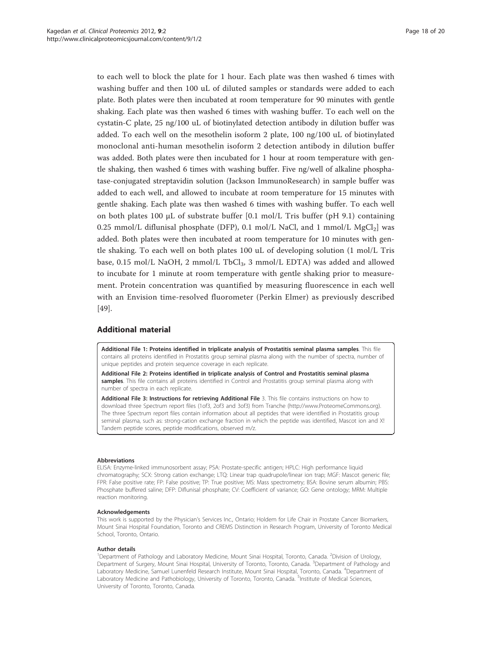<span id="page-17-0"></span>to each well to block the plate for 1 hour. Each plate was then washed 6 times with washing buffer and then 100 uL of diluted samples or standards were added to each plate. Both plates were then incubated at room temperature for 90 minutes with gentle shaking. Each plate was then washed 6 times with washing buffer. To each well on the cystatin-C plate, 25 ng/100 uL of biotinylated detection antibody in dilution buffer was added. To each well on the mesothelin isoform 2 plate, 100 ng/100 uL of biotinylated monoclonal anti-human mesothelin isoform 2 detection antibody in dilution buffer was added. Both plates were then incubated for 1 hour at room temperature with gentle shaking, then washed 6 times with washing buffer. Five ng/well of alkaline phosphatase-conjugated streptavidin solution (Jackson ImmunoResearch) in sample buffer was added to each well, and allowed to incubate at room temperature for 15 minutes with gentle shaking. Each plate was then washed 6 times with washing buffer. To each well on both plates 100 μL of substrate buffer  $[0.1 \text{ mol/L}$  Tris buffer  $(pH 9.1)$  containing 0.25 mmol/L diflunisal phosphate (DFP), 0.1 mol/L NaCl, and 1 mmol/L  $MgCl<sub>2</sub>$ ] was added. Both plates were then incubated at room temperature for 10 minutes with gentle shaking. To each well on both plates 100 uL of developing solution (1 mol/L Tris base, 0.15 mol/L NaOH, 2 mmol/L TbCl<sub>3</sub>, 3 mmol/L EDTA) was added and allowed to incubate for 1 minute at room temperature with gentle shaking prior to measurement. Protein concentration was quantified by measuring fluorescence in each well with an Envision time-resolved fluorometer (Perkin Elmer) as previously described [[49\]](#page-19-0).

### Additional material

[Additional File 1: P](http://www.biomedcentral.com/content/supplementary/1559-0275-9-2-S1.XLS)roteins identified in triplicate analysis of Prostatitis seminal plasma samples. This file contains all proteins identified in Prostatitis group seminal plasma along with the number of spectra, number of unique peptides and protein sequence coverage in each replicate.

[Additional File 2: P](http://www.biomedcentral.com/content/supplementary/1559-0275-9-2-S2.XLS)roteins identified in triplicate analysis of Control and Prostatitis seminal plasma samples. This file contains all proteins identified in Control and Prostatitis group seminal plasma along with number of spectra in each replicate.

[Additional File 3: I](http://www.biomedcentral.com/content/supplementary/1559-0275-9-2-S3.DOC)nstructions for retrieving Additional File 3. This file contains instructions on how to download three Spectrum report files (1of3, 2of3 and 3of3) from Tranche [\(http://www.ProteomeCommons.org](http://www.ProteomeCommons.org)). The three Spectrum report files contain information about all peptides that were identified in Prostatitis group seminal plasma, such as: strong-cation exchange fraction in which the peptide was identified, Mascot ion and X! Tandem peptide scores, peptide modifications, observed m/z.

#### Abbreviations

ELISA: Enzyme-linked immunosorbent assay; PSA: Prostate-specific antigen; HPLC: High performance liquid chromatography; SCX: Strong cation exchange; LTQ: Linear trap quadrupole/linear ion trap; MGF: Mascot generic file; FPR: False positive rate; FP: False positive; TP: True positive; MS: Mass spectrometry; BSA: Bovine serum albumin; PBS: Phosphate buffered saline; DFP: Diflunisal phosphate; CV: Coefficient of variance; GO: Gene ontology; MRM: Multiple reaction monitoring.

#### Acknowledgements

This work is supported by the Physician's Services Inc., Ontario; Holdem for Life Chair in Prostate Cancer Biomarkers, Mount Sinai Hospital Foundation, Toronto and CREMS Distinction in Research Program, University of Toronto Medical School, Toronto, Ontario.

#### Author details

<sup>1</sup>Department of Pathology and Laboratory Medicine, Mount Sinai Hospital, Toronto, Canada. <sup>2</sup>Division of Urology, Department of Surgery, Mount Sinai Hospital, University of Toronto, Toronto, Canada. <sup>3</sup>Department of Pathology and Laboratory Medicine, Samuel Lunenfeld Research Institute, Mount Sinai Hospital, Toronto, Canada. <sup>4</sup>Department of Laboratory Medicine and Pathobiology, University of Toronto, Toronto, Canada. <sup>5</sup>Institute of Medical Sciences University of Toronto, Toronto, Canada.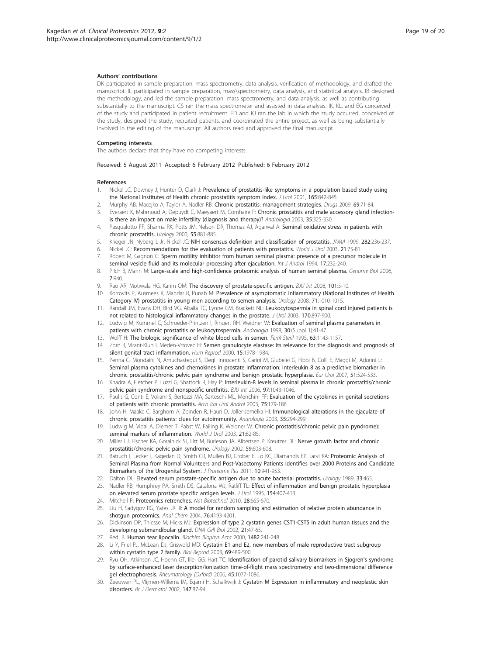#### <span id="page-18-0"></span>Authors' contributions

DK participated in sample preparation, mass spectrometry, data analysis, verification of methodology, and drafted the manuscript. IL participated in sample preparation, mass\spectrometry, data analysis, and statistical analysis. IB designed the methodology, and led the sample preparation, mass spectrometry, and data analysis, as well as contributing substantially to the manuscript. CS ran the mass spectrometer and assisted in data analysis. IK, KL, and EG conceived of the study and participated in patient recruitment. ED and KJ ran the lab in which the study occurred, conceived of the study, designed the study, recruited patients, and coordinated the entire project, as well as being substantially involved in the editing of the manuscript. All authors read and approved the final manuscript.

#### Competing interests

The authors declare that they have no competing interests.

Received: 5 August 2011 Accepted: 6 February 2012 Published: 6 February 2012

#### References

- 1. Nickel JC, Downey J, Hunter D, Clark J: [Prevalence of prostatitis-like symptoms in a population based study using](http://www.ncbi.nlm.nih.gov/pubmed/11176483?dopt=Abstract) [the National Institutes of Health chronic prostatitis symptom index.](http://www.ncbi.nlm.nih.gov/pubmed/11176483?dopt=Abstract) J Urol 2001, 165:842-845.
- 2. Murphy AB, Macejko A, Taylor A, Nadler RB: [Chronic prostatitis: management strategies.](http://www.ncbi.nlm.nih.gov/pubmed/19192937?dopt=Abstract) Drugs 2009, 69:71-84.
- 3. Everaert K, Mahmoud A, Depuydt C, Maeyaert M, Comhaire F: [Chronic prostatitis and male accessory gland infection](http://www.ncbi.nlm.nih.gov/pubmed/14535865?dopt=Abstract)[is there an impact on male infertility \(diagnosis and therapy\)?](http://www.ncbi.nlm.nih.gov/pubmed/14535865?dopt=Abstract) Andrologia 2003, 35:325-330.
- 4. Pasqualotto FF, Sharma RK, Potts JM, Nelson DR, Thomas AJ, Agarwal A: [Seminal oxidative stress in patients with](http://www.ncbi.nlm.nih.gov/pubmed/10840100?dopt=Abstract) [chronic prostatitis.](http://www.ncbi.nlm.nih.gov/pubmed/10840100?dopt=Abstract) Urology 2000, 55:881-885.
- 5. Krieger JN, Nyberg L Jr, Nickel JC: [NIH consensus definition and classification of prostatitis.](http://www.ncbi.nlm.nih.gov/pubmed/10422990?dopt=Abstract) JAMA 1999, 282:236-237.
- 6. Nickel JC: [Recommendations for the evaluation of patients with prostatitis.](http://www.ncbi.nlm.nih.gov/pubmed/12684835?dopt=Abstract) World J Urol 2003, 21:75-81.
- 7. Robert M, Gagnon C: [Sperm motility inhibitor from human seminal plasma: presence of a precursor molecule in](http://www.ncbi.nlm.nih.gov/pubmed/7698848?dopt=Abstract) [seminal vesicle fluid and its molecular processing after ejaculation.](http://www.ncbi.nlm.nih.gov/pubmed/7698848?dopt=Abstract) Int J Androl 1994, 17:232-240.
- 8. Pilch B, Mann M: [Large-scale and high-confidence proteomic analysis of human seminal plasma.](http://www.ncbi.nlm.nih.gov/pubmed/16709260?dopt=Abstract) Genome Biol 2006, 7:R40.
- 9. Rao AR, Motiwala HG, Karim OM: [The discovery of prostate-specific antigen.](http://www.ncbi.nlm.nih.gov/pubmed/18307686?dopt=Abstract) BJU Int 2008, 101:5-10.
- 10. Korrovits P, Ausmees K, Mandar R, Punab M: [Prevalence of asymptomatic inflammatory \(National Institutes of Health](http://www.ncbi.nlm.nih.gov/pubmed/18455767?dopt=Abstract) [Category IV\) prostatitis in young men according to semen analysis.](http://www.ncbi.nlm.nih.gov/pubmed/18455767?dopt=Abstract) Urology 2008, 71:1010-1015.
- 11. Randall JM, Evans DH, Bird VG, Aballa TC, Lynne CM, Brackett NL: [Leukocytospermia in spinal cord injured patients is](http://www.ncbi.nlm.nih.gov/pubmed/12913725?dopt=Abstract) [not related to histological inflammatory changes in the prostate.](http://www.ncbi.nlm.nih.gov/pubmed/12913725?dopt=Abstract) J Urol 2003, 170:897-900.
- 12. Ludwig M, Kummel C, Schroeder-Printzen I, Ringert RH, Weidner W: Evaluation of seminal plasma parameters in patients with chronic prostatitis or leukocytospermia. Andrologia 1998, 30:(Suppl 1):41-47.
- 13. Wolff H: [The biologic significance of white blood cells in semen.](http://www.ncbi.nlm.nih.gov/pubmed/7750580?dopt=Abstract) Fertil Steril 1995, 63:1143-1157.
- 14. Zorn B, Virant-Klun I, Meden-Vrtovec H: [Semen granulocyte elastase: its relevance for the diagnosis and prognosis of](http://www.ncbi.nlm.nih.gov/pubmed/10966999?dopt=Abstract) [silent genital tract inflammation.](http://www.ncbi.nlm.nih.gov/pubmed/10966999?dopt=Abstract) Hum Reprod 2000, 15:1978-1984.
- 15. Penna G, Mondaini N, Amuchastegui S, Degli Innocenti S, Carini M, Giubelei G, Fibbi B, Colli E, Maggi M, Adorini L: [Seminal plasma cytokines and chemokines in prostate inflammation: interleukin 8 as a predictive biomarker in](http://www.ncbi.nlm.nih.gov/pubmed/16905241?dopt=Abstract) [chronic prostatitis/chronic pelvic pain syndrome and benign prostatic hyperplasia.](http://www.ncbi.nlm.nih.gov/pubmed/16905241?dopt=Abstract) Eur Urol 2007, 51:524-533.
- 16. Khadra A, Fletcher P, Luzzi G, Shattock R, Hay P: [Interleukin-8 levels in seminal plasma in chronic prostatitis/chronic](http://www.ncbi.nlm.nih.gov/pubmed/16643489?dopt=Abstract) [pelvic pain syndrome and nonspecific urethritis.](http://www.ncbi.nlm.nih.gov/pubmed/16643489?dopt=Abstract) BJU Int 2006, 97:1043-1046.
- 17. Paulis G, Conti E, Voliani S, Bertozzi MA, Sarteschi ML, Menchini FF: [Evaluation of the cytokines in genital secretions](http://www.ncbi.nlm.nih.gov/pubmed/15005490?dopt=Abstract) [of patients with chronic prostatitis.](http://www.ncbi.nlm.nih.gov/pubmed/15005490?dopt=Abstract) Arch Ital Urol Androl 2003, 75:179-186.
- 18. John H, Maake C, Barghorn A, Zbinden R, Hauri D, Joller-Jemelka HI: [Immunological alterations in the ejaculate of](http://www.ncbi.nlm.nih.gov/pubmed/14535858?dopt=Abstract) [chronic prostatitis patients: clues for autoimmunity.](http://www.ncbi.nlm.nih.gov/pubmed/14535858?dopt=Abstract) Andrologia 2003, 35:294-299.
- 19. Ludwig M, Vidal A, Diemer T, Pabst W, Failing K, Weidner W: [Chronic prostatitis/chronic pelvic pain pyndrome\):](http://www.ncbi.nlm.nih.gov/pubmed/12690515?dopt=Abstract) [seminal markers of inflammation.](http://www.ncbi.nlm.nih.gov/pubmed/12690515?dopt=Abstract) World J Urol 2003, 21:82-85.
- 20. Miller LJ, Fischer KA, Goralnick SJ, Litt M, Burleson JA, Albertsen P, Kreutzer DL: [Nerve growth factor and chronic](http://www.ncbi.nlm.nih.gov/pubmed/11927336?dopt=Abstract) [prostatitis/chronic pelvic pain syndrome.](http://www.ncbi.nlm.nih.gov/pubmed/11927336?dopt=Abstract) Urology 2002, 59:603-608.
- 21. Batruch I, Lecker I, Kagedan D, Smith CR, Mullen BJ, Grober E, Lo KC, Diamandis EP, Jarvi KA: [Proteomic Analysis of](http://www.ncbi.nlm.nih.gov/pubmed/21142078?dopt=Abstract) [Seminal Plasma from Normal Volunteers and Post-Vasectomy Patients Identifies over 2000 Proteins and Candidate](http://www.ncbi.nlm.nih.gov/pubmed/21142078?dopt=Abstract) [Biomarkers of the Urogenital System.](http://www.ncbi.nlm.nih.gov/pubmed/21142078?dopt=Abstract) J Proteome Res 2011, 10:941-953.
- 22. Dalton DL: [Elevated serum prostate-specific antigen due to acute bacterial prostatitis.](http://www.ncbi.nlm.nih.gov/pubmed/2471345?dopt=Abstract) *Urology* 1989, 33:465.
- 23. Nadler RB, Humphrey PA, Smith DS, Catalona WJ, Ratliff TL: [Effect of inflammation and benign prostatic hyperplasia](http://www.ncbi.nlm.nih.gov/pubmed/7541857?dopt=Abstract) [on elevated serum prostate specific antigen levels.](http://www.ncbi.nlm.nih.gov/pubmed/7541857?dopt=Abstract) J Urol 1995, 154:407-413.
- 24. Mitchell P: [Proteomics retrenches.](http://www.ncbi.nlm.nih.gov/pubmed/20622833?dopt=Abstract) Nat Biotechnol 2010, 28:665-670.
- 25. Liu H, Sadygov RG, Yates JR III: [A model for random sampling and estimation of relative protein abundance in](http://www.ncbi.nlm.nih.gov/pubmed/15253663?dopt=Abstract) [shotgun proteomics.](http://www.ncbi.nlm.nih.gov/pubmed/15253663?dopt=Abstract) Anal Chem 2004, 76:4193-4201.
- 26. Dickinson DP, Thiesse M, Hicks MJ: [Expression of type 2 cystatin genes CST1-CST5 in adult human tissues and the](http://www.ncbi.nlm.nih.gov/pubmed/11879580?dopt=Abstract) [developing submandibular gland.](http://www.ncbi.nlm.nih.gov/pubmed/11879580?dopt=Abstract) DNA Cell Biol 2002, 21:47-65.
- 27. Redl B: [Human tear lipocalin.](http://www.ncbi.nlm.nih.gov/pubmed/11058765?dopt=Abstract) Biochim Biophys Acta 2000, 1482:241-248.
- 28. Li Y, Friel PJ, McLean DJ, Griswold MD: [Cystatin E1 and E2, new members of male reproductive tract subgroup](http://www.ncbi.nlm.nih.gov/pubmed/12700194?dopt=Abstract) [within cystatin type 2 family.](http://www.ncbi.nlm.nih.gov/pubmed/12700194?dopt=Abstract) Biol Reprod 2003, 69:489-500.
- 29. Ryu OH, Atkinson JC, Hoehn GT, Illei GG, Hart TC: Identification of parotid salivary biomarkers in Sjogren's syndrome by surface-enhanced laser desorption/ionization time-of-flight mass spectrometry and two-dimensional difference gel electrophoresis. Rheumatology (Oxford) 2006, 45:1077-1086.
- 30. Zeeuwen PL, Vlijmen-Willems IM, Egami H, Schalkwijk J: [Cystatin M Expression in inflammatory and neoplastic skin](http://www.ncbi.nlm.nih.gov/pubmed/12100189?dopt=Abstract) [disorders.](http://www.ncbi.nlm.nih.gov/pubmed/12100189?dopt=Abstract) Br J Dermatol 2002, 147:87-94.